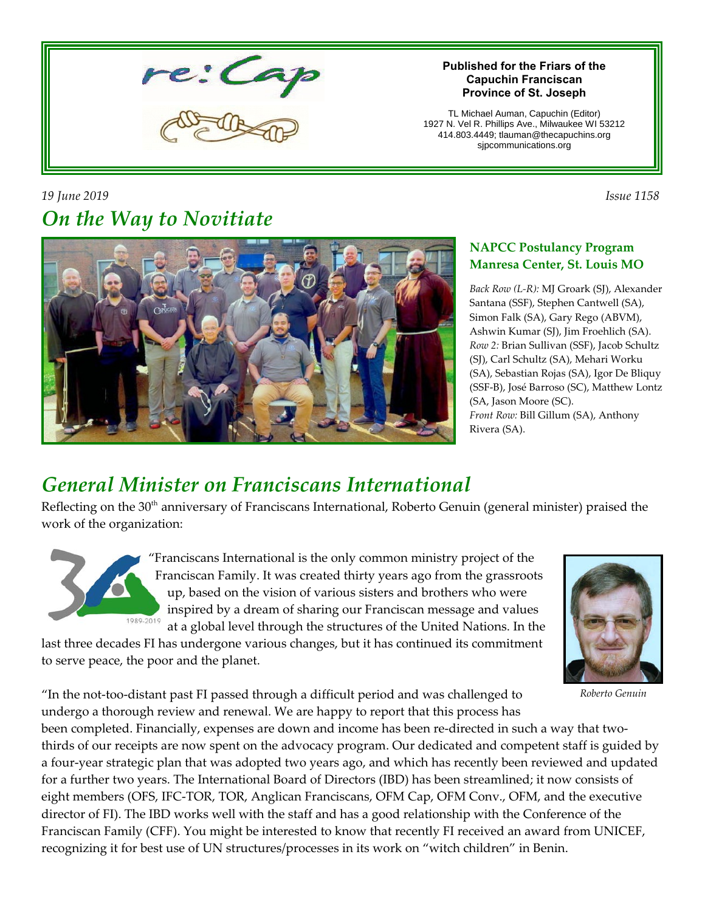

#### **Published for the Friars of the Capuchin Franciscan Province of St. Joseph**

TL Michael Auman, Capuchin (Editor) 1927 N. Vel R. Phillips Ave., Milwaukee WI 53212 414.803.4449; tlauman@thecapuchins.org sjpcommunications.org

*19 June 2019 Issue 1158 On the Way to Novitiate*



### **NAPCC Postulancy Program Manresa Center, St. Louis MO**

*Back Row (L-R):* MJ Groark (SJ), Alexander Santana (SSF), Stephen Cantwell (SA), Simon Falk (SA), Gary Rego (ABVM), Ashwin Kumar (SJ), Jim Froehlich (SA). *Row 2:* Brian Sullivan (SSF), Jacob Schultz (SJ), Carl Schultz (SA), Mehari Worku (SA), Sebastian Rojas (SA), Igor De Bliquy (SSF-B), José Barroso (SC), Matthew Lontz (SA, Jason Moore (SC). *Front Row:* Bill Gillum (SA), Anthony Rivera (SA).

## *General Minister on Franciscans International*

Reflecting on the 30<sup>th</sup> anniversary of Franciscans International, Roberto Genuin (general minister) praised the work of the organization:



"Franciscans International is the only common ministry project of the Franciscan Family. It was created thirty years ago from the grassroots up, based on the vision of various sisters and brothers who were inspired by a dream of sharing our Franciscan message and values at a global level through the structures of the United Nations. In the

last three decades FI has undergone various changes, but it has continued its commitment to serve peace, the poor and the planet.



*Roberto Genuin*

"In the not-too-distant past FI passed through a difficult period and was challenged to undergo a thorough review and renewal. We are happy to report that this process has

been completed. Financially, expenses are down and income has been re-directed in such a way that twothirds of our receipts are now spent on the advocacy program. Our dedicated and competent staff is guided by a four-year strategic plan that was adopted two years ago, and which has recently been reviewed and updated for a further two years. The International Board of Directors (IBD) has been streamlined; it now consists of eight members (OFS, IFC-TOR, TOR, Anglican Franciscans, OFM Cap, OFM Conv., OFM, and the executive director of FI). The IBD works well with the staff and has a good relationship with the Conference of the Franciscan Family (CFF). You might be interested to know that recently FI received an award from UNICEF, recognizing it for best use of UN structures/processes in its work on "witch children" in Benin.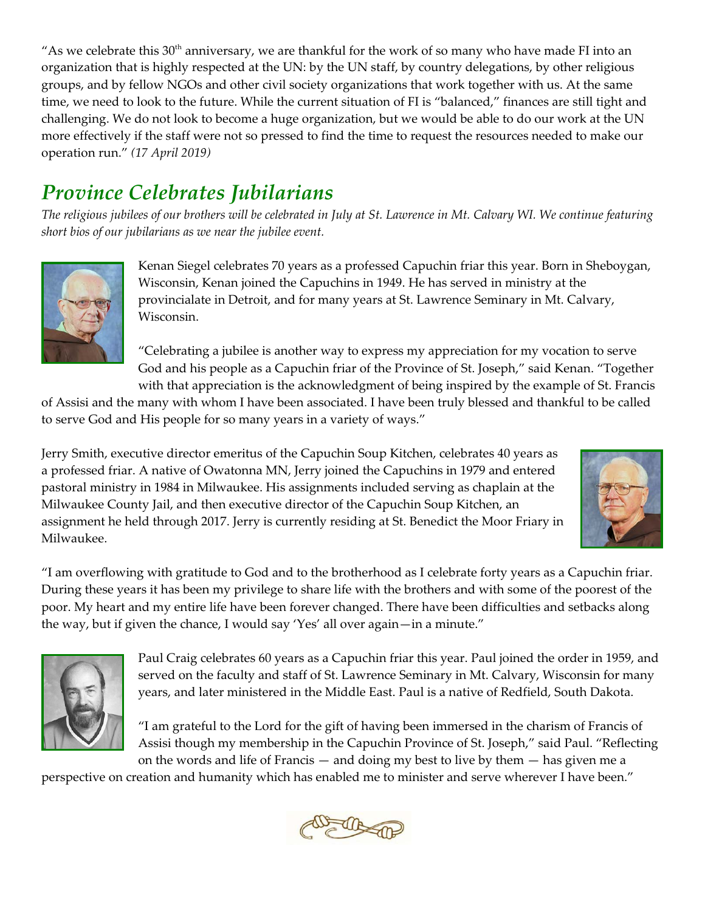"As we celebrate this  $30<sup>th</sup>$  anniversary, we are thankful for the work of so many who have made FI into an organization that is highly respected at the UN: by the UN staff, by country delegations, by other religious groups, and by fellow NGOs and other civil society organizations that work together with us. At the same time, we need to look to the future. While the current situation of FI is "balanced," finances are still tight and challenging. We do not look to become a huge organization, but we would be able to do our work at the UN more effectively if the staff were not so pressed to find the time to request the resources needed to make our operation run." *(17 April 2019)*

# *Province Celebrates Jubilarians*

*The religious jubilees of our brothers will be celebrated in July at St. Lawrence in Mt. Calvary WI. We continue featuring short bios of our jubilarians as we near the jubilee event.*



Kenan Siegel celebrates 70 years as a professed Capuchin friar this year. Born in Sheboygan, Wisconsin, Kenan joined the Capuchins in 1949. He has served in ministry at the provincialate in Detroit, and for many years at St. Lawrence Seminary in Mt. Calvary, Wisconsin.

"Celebrating a jubilee is another way to express my appreciation for my vocation to serve God and his people as a Capuchin friar of the Province of St. Joseph," said Kenan. "Together with that appreciation is the acknowledgment of being inspired by the example of St. Francis

of Assisi and the many with whom I have been associated. I have been truly blessed and thankful to be called to serve God and His people for so many years in a variety of ways."

Jerry Smith, executive director emeritus of the Capuchin Soup Kitchen, celebrates 40 years as a professed friar. A native of Owatonna MN, Jerry joined the Capuchins in 1979 and entered pastoral ministry in 1984 in Milwaukee. His assignments included serving as chaplain at the Milwaukee County Jail, and then executive director of the Capuchin Soup Kitchen, an assignment he held through 2017. Jerry is currently residing at St. Benedict the Moor Friary in Milwaukee.



"I am overflowing with gratitude to God and to the brotherhood as I celebrate forty years as a Capuchin friar. During these years it has been my privilege to share life with the brothers and with some of the poorest of the poor. My heart and my entire life have been forever changed. There have been difficulties and setbacks along the way, but if given the chance, I would say 'Yes' all over again—in a minute."



Paul Craig celebrates 60 years as a Capuchin friar this year. Paul joined the order in 1959, and served on the faculty and staff of St. Lawrence Seminary in Mt. Calvary, Wisconsin for many years, and later ministered in the Middle East. Paul is a native of Redfield, South Dakota.

"I am grateful to the Lord for the gift of having been immersed in the charism of Francis of Assisi though my membership in the Capuchin Province of St. Joseph," said Paul. "Reflecting on the words and life of Francis — and doing my best to live by them — has given me a

perspective on creation and humanity which has enabled me to minister and serve wherever I have been."

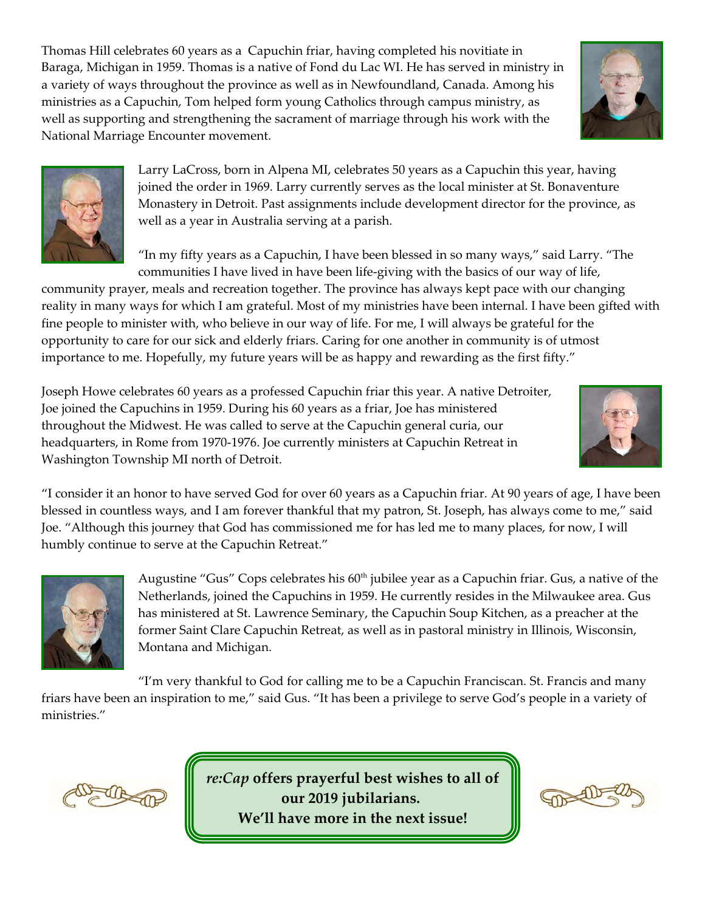Thomas Hill celebrates 60 years as a Capuchin friar, having completed his novitiate in Baraga, Michigan in 1959. Thomas is a native of Fond du Lac WI. He has served in ministry in a variety of ways throughout the province as well as in Newfoundland, Canada. Among his ministries as a Capuchin, Tom helped form young Catholics through campus ministry, as well as supporting and strengthening the sacrament of marriage through his work with the National Marriage Encounter movement.





Larry LaCross, born in Alpena MI, celebrates 50 years as a Capuchin this year, having joined the order in 1969. Larry currently serves as the local minister at St. Bonaventure Monastery in Detroit. Past assignments include development director for the province, as well as a year in Australia serving at a parish.

"In my fifty years as a Capuchin, I have been blessed in so many ways," said Larry. "The communities I have lived in have been life-giving with the basics of our way of life,

community prayer, meals and recreation together. The province has always kept pace with our changing reality in many ways for which I am grateful. Most of my ministries have been internal. I have been gifted with fine people to minister with, who believe in our way of life. For me, I will always be grateful for the opportunity to care for our sick and elderly friars. Caring for one another in community is of utmost importance to me. Hopefully, my future years will be as happy and rewarding as the first fifty."

Joseph Howe celebrates 60 years as a professed Capuchin friar this year. A native Detroiter, Joe joined the Capuchins in 1959. During his 60 years as a friar, Joe has ministered throughout the Midwest. He was called to serve at the Capuchin general curia, our headquarters, in Rome from 1970-1976. Joe currently ministers at Capuchin Retreat in Washington Township MI north of Detroit.



"I consider it an honor to have served God for over 60 years as a Capuchin friar. At 90 years of age, I have been blessed in countless ways, and I am forever thankful that my patron, St. Joseph, has always come to me," said Joe. "Although this journey that God has commissioned me for has led me to many places, for now, I will humbly continue to serve at the Capuchin Retreat."



Augustine "Gus" Cops celebrates his  $60<sup>th</sup>$  jubilee year as a Capuchin friar. Gus, a native of the Netherlands, joined the Capuchins in 1959. He currently resides in the Milwaukee area. Gus has ministered at St. Lawrence Seminary, the Capuchin Soup Kitchen, as a preacher at the former Saint Clare Capuchin Retreat, as well as in pastoral ministry in Illinois, Wisconsin, Montana and Michigan.

"I'm very thankful to God for calling me to be a Capuchin Franciscan. St. Francis and many friars have been an inspiration to me," said Gus. "It has been a privilege to serve God's people in a variety of ministries."



*re:Cap* **offers prayerful best wishes to all of our 2019 jubilarians. We'll have more in the next issue!**